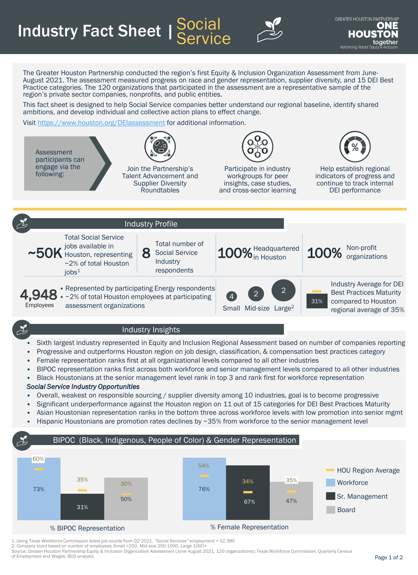**Industry Fact Sheet | Social Service** 



The Greater Houston Partnership conducted the region's first Equity & Inclusion Organization Assessment from June-August 2021. The assessment measured progress on race and gender representation, supplier diversity, and 15 DEI Best Practice categories. The 120 organizations that participated in the assessment are a representative sample of the region's private sector companies, nonprofits, and public entities.

This fact sheet is designed to help Social Service companies better understand our regional baseline, identify shared ambitions, and develop individual and collective action plans to effect change.

Visit <https://www.houston.org/DEIassessment> for additional information.



- Progressive and outperforms Houston region on job design, classification, & compensation best practices category
- Female representation ranks first at all organizational levels compared to all other industries
- BIPOC representation ranks first across both workforce and senior management levels compared to all other industries
- Black Houstonians at the senior management level rank in top 3 and rank first for workforce representation

## *Social Service Industry Opportunities*

- Overall, weakest on responsible sourcing / supplier diversity among 10 industries, goal is to become progressive
- Significant underperformance against the Houston region on 11 out of 15 categories for DEI Best Practices Maturity
- Asian Houstonian representation ranks in the bottom three across workforce levels with low promotion into senior mgmt
- Hispanic Houstonians are promotion rates declines by ~35% from workforce to the senior management level





1. Using Texas Workforce Commission latest job counts from Q2'2021, "Social Services" employment = 52,390

2. Company sized based on number of employees: Small <250, Mid-size 250-1000, Large 1000+

Source: Greater Houston Partnership Equity & Inclusion Organization Assessment (June-August 2021, 120 organizations); Texas Workforce Commission, Quarterly Census of Employment and Wages; BCG analysis